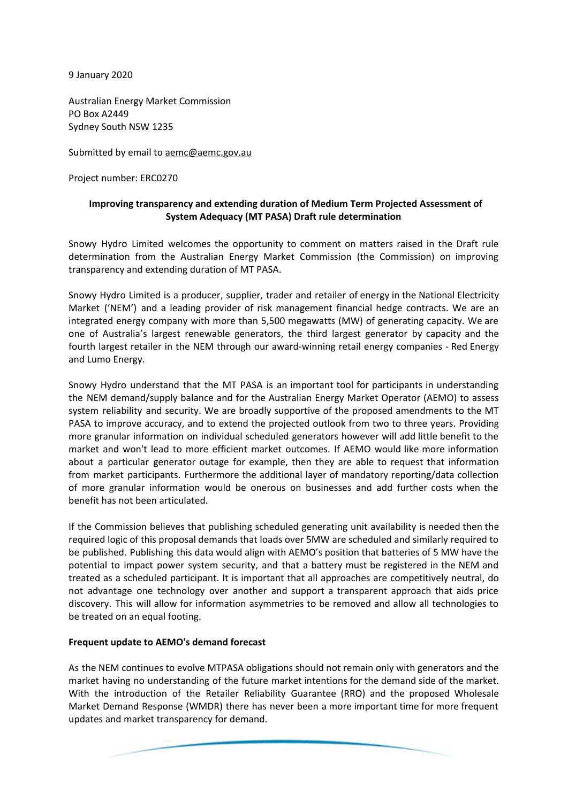9 January 2020

Australian Energy Market Commission PO Box A2449 Sydney South NSW 1235

Submitted by email to [aemc@aemc.gov.au](mailto:aemc@aemc.gov.au)

Project number: ERC0270

## **Improving transparency and extending duration of Medium Term Projected Assessment of System Adequacy (MT PASA) Draft rule determination**

Snowy Hydro Limited welcomes the opportunity to comment on matters raised in the Draft rule determination from the Australian Energy Market Commission (the Commission) on improving transparency and extending duration of MT PASA.

Snowy Hydro Limited is a producer, supplier, trader and retailer of energy in the National Electricity Market ('NEM') and a leading provider of risk management financial hedge contracts. We are an integrated energy company with more than 5,500 megawatts (MW) of generating capacity. We are one of Australia's largest renewable generators, the third largest generator by capacity and the fourth largest retailer in the NEM through our award-winning retail energy companies - Red Energy and Lumo Energy.

Snowy Hydro understand that the MT PASA is an important tool for participants in understanding the NEM demand/supply balance and for the Australian Energy Market Operator (AEMO) to assess system reliability and security. We are broadly supportive of the proposed amendments to the MT PASA to improve accuracy, and to extend the projected outlook from two to three years. Providing more granular information on individual scheduled generators however will add little benefit to the market and won't lead to more efficient market outcomes. If AEMO would like more information about a particular generator outage for example, then they are able to request that information from market participants. Furthermore the additional layer of mandatory reporting/data collection of more granular information would be onerous on businesses and add further costs when the benefit has not been articulated.

If the Commission believes that publishing scheduled generating unit availability is needed then the required logic of this proposal demands that loads over 5MW are scheduled and similarly required to be published. Publishing this data would align with AEMO's position that batteries of 5 MW have the potential to impact power system security, and that a battery must be registered in the NEM and treated as a scheduled participant. It is important that all approaches are competitively neutral, do not advantage one technology over another and support a transparent approach that aids price discovery. This will allow for information asymmetries to be removed and allow all technologies to be treated on an equal footing.

## **Frequent update to AEMO's demand forecast**

As the NEM continues to evolve MTPASA obligations should not remain only with generators and the market having no understanding of the future market intentions for the demand side of the market. With the introduction of the Retailer Reliability Guarantee (RRO) and the proposed Wholesale Market Demand Response (WMDR) there has never been a more important time for more frequent updates and market transparency for demand.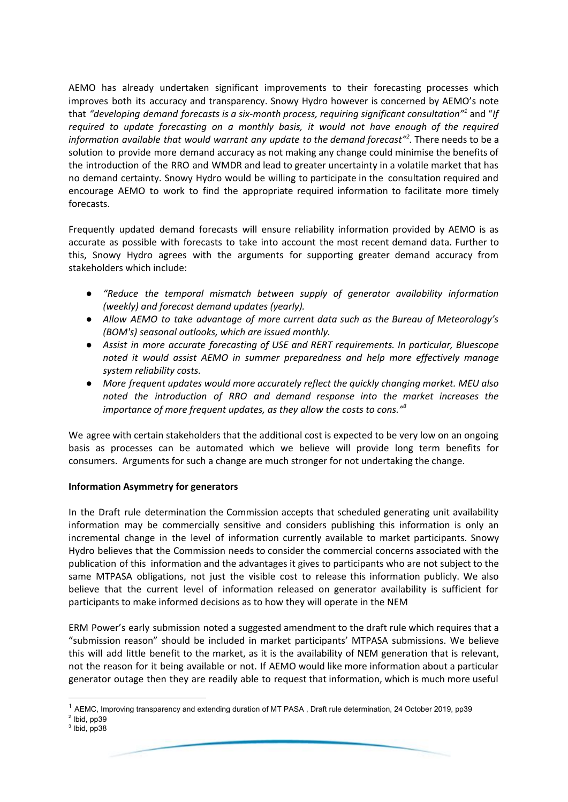AEMO has already undertaken significant improvements to their forecasting processes which improves both its accuracy and transparency. Snowy Hydro however is concerned by AEMO's note that *"developing demand forecasts is a six-month process, requiring significant consultation"* and "*If 1 required to update forecasting on a monthly basis, it would not have enough of the required information available that would warrant any update to the demand forecast" .* There needs to be a *2* solution to provide more demand accuracy as not making any change could minimise the benefits of the introduction of the RRO and WMDR and lead to greater uncertainty in a volatile market that has no demand certainty. Snowy Hydro would be willing to participate in the consultation required and encourage AEMO to work to find the appropriate required information to facilitate more timely forecasts.

Frequently updated demand forecasts will ensure reliability information provided by AEMO is as accurate as possible with forecasts to take into account the most recent demand data. Further to this, Snowy Hydro agrees with the arguments for supporting greater demand accuracy from stakeholders which include:

- *● "Reduce the temporal mismatch between supply of generator availability information (weekly) and forecast demand updates (yearly).*
- *● Allow AEMO to take advantage of more current data such as the Bureau of Meteorology's (BOM's) seasonal outlooks, which are issued monthly.*
- *● Assist in more accurate forecasting of USE and RERT requirements. In particular, Bluescope noted it would assist AEMO in summer preparedness and help more effectively manage system reliability costs.*
- *More frequent updates would more accurately reflect the quickly changing market. MEU also noted the introduction of RRO and demand response into the market increases the importance of more frequent updates, as they allow the costs to cons." 3*

We agree with certain stakeholders that the additional cost is expected to be very low on an ongoing basis as processes can be automated which we believe will provide long term benefits for consumers. Arguments for such a change are much stronger for not undertaking the change.

## **Information Asymmetry for generators**

In the Draft rule determination the Commission accepts that scheduled generating unit availability information may be commercially sensitive and considers publishing this information is only an incremental change in the level of information currently available to market participants. Snowy Hydro believes that the Commission needs to consider the commercial concerns associated with the publication of this information and the advantages it gives to participants who are not subject to the same MTPASA obligations, not just the visible cost to release this information publicly. We also believe that the current level of information released on generator availability is sufficient for participants to make informed decisions as to how they will operate in the NEM

ERM Power's early submission noted a suggested amendment to the draft rule which requires that a "submission reason" should be included in market participants' MTPASA submissions. We believe this will add little benefit to the market, as it is the availability of NEM generation that is relevant, not the reason for it being available or not. If AEMO would like more information about a particular generator outage then they are readily able to request that information, which is much more useful

 $1$  AEMC, Improving transparency and extending duration of MT PASA, Draft rule determination, 24 October 2019, pp39

 $2$  Ibid, pp39

 $3$  Ibid, pp38